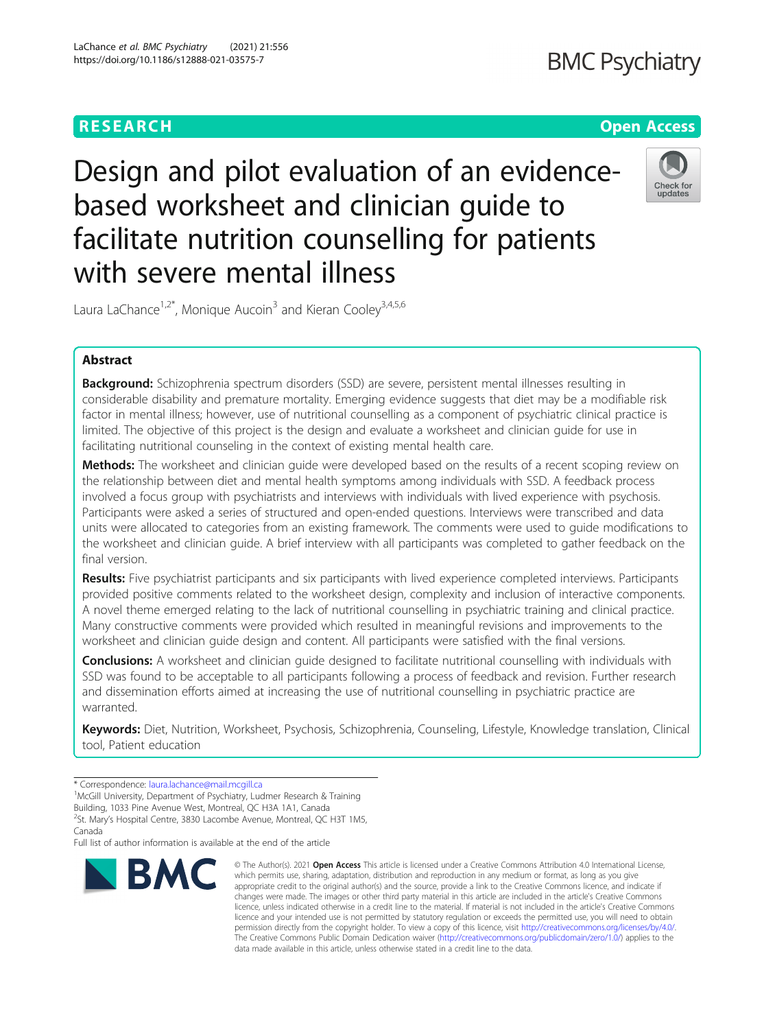# RESEARCH **RESEARCH CONSUMING THE CONSUMING THE CONSUMING TENS**

Design and pilot evaluation of an evidencebased worksheet and clinician guide to facilitate nutrition counselling for patients with severe mental illness



Laura LaChance<sup>1,2\*</sup>, Monique Aucoin<sup>3</sup> and Kieran Cooley<sup>3,4,5,6</sup>

## Abstract

Background: Schizophrenia spectrum disorders (SSD) are severe, persistent mental illnesses resulting in considerable disability and premature mortality. Emerging evidence suggests that diet may be a modifiable risk factor in mental illness; however, use of nutritional counselling as a component of psychiatric clinical practice is limited. The objective of this project is the design and evaluate a worksheet and clinician guide for use in facilitating nutritional counseling in the context of existing mental health care.

**Methods:** The worksheet and clinician quide were developed based on the results of a recent scoping review on the relationship between diet and mental health symptoms among individuals with SSD. A feedback process involved a focus group with psychiatrists and interviews with individuals with lived experience with psychosis. Participants were asked a series of structured and open-ended questions. Interviews were transcribed and data units were allocated to categories from an existing framework. The comments were used to guide modifications to the worksheet and clinician guide. A brief interview with all participants was completed to gather feedback on the final version.

Results: Five psychiatrist participants and six participants with lived experience completed interviews. Participants provided positive comments related to the worksheet design, complexity and inclusion of interactive components. A novel theme emerged relating to the lack of nutritional counselling in psychiatric training and clinical practice. Many constructive comments were provided which resulted in meaningful revisions and improvements to the worksheet and clinician guide design and content. All participants were satisfied with the final versions.

Conclusions: A worksheet and clinician quide designed to facilitate nutritional counselling with individuals with SSD was found to be acceptable to all participants following a process of feedback and revision. Further research and dissemination efforts aimed at increasing the use of nutritional counselling in psychiatric practice are warranted.

Keywords: Diet, Nutrition, Worksheet, Psychosis, Schizophrenia, Counseling, Lifestyle, Knowledge translation, Clinical tool, Patient education

\* Correspondence: [laura.lachance@mail.mcgill.ca](mailto:laura.lachance@mail.mcgill.ca) <sup>1</sup>

<sup>1</sup>McGill University, Department of Psychiatry, Ludmer Research & Training Building, 1033 Pine Avenue West, Montreal, QC H3A 1A1, Canada

<sup>2</sup>St. Mary's Hospital Centre, 3830 Lacombe Avenue, Montreal, QC H3T 1M5,

Full list of author information is available at the end of the article



© The Author(s), 2021 **Open Access** This article is licensed under a Creative Commons Attribution 4.0 International License, which permits use, sharing, adaptation, distribution and reproduction in any medium or format, as long as you give appropriate credit to the original author(s) and the source, provide a link to the Creative Commons licence, and indicate if changes were made. The images or other third party material in this article are included in the article's Creative Commons licence, unless indicated otherwise in a credit line to the material. If material is not included in the article's Creative Commons licence and your intended use is not permitted by statutory regulation or exceeds the permitted use, you will need to obtain permission directly from the copyright holder. To view a copy of this licence, visit [http://creativecommons.org/licenses/by/4.0/.](http://creativecommons.org/licenses/by/4.0/) The Creative Commons Public Domain Dedication waiver [\(http://creativecommons.org/publicdomain/zero/1.0/](http://creativecommons.org/publicdomain/zero/1.0/)) applies to the data made available in this article, unless otherwise stated in a credit line to the data.

Canada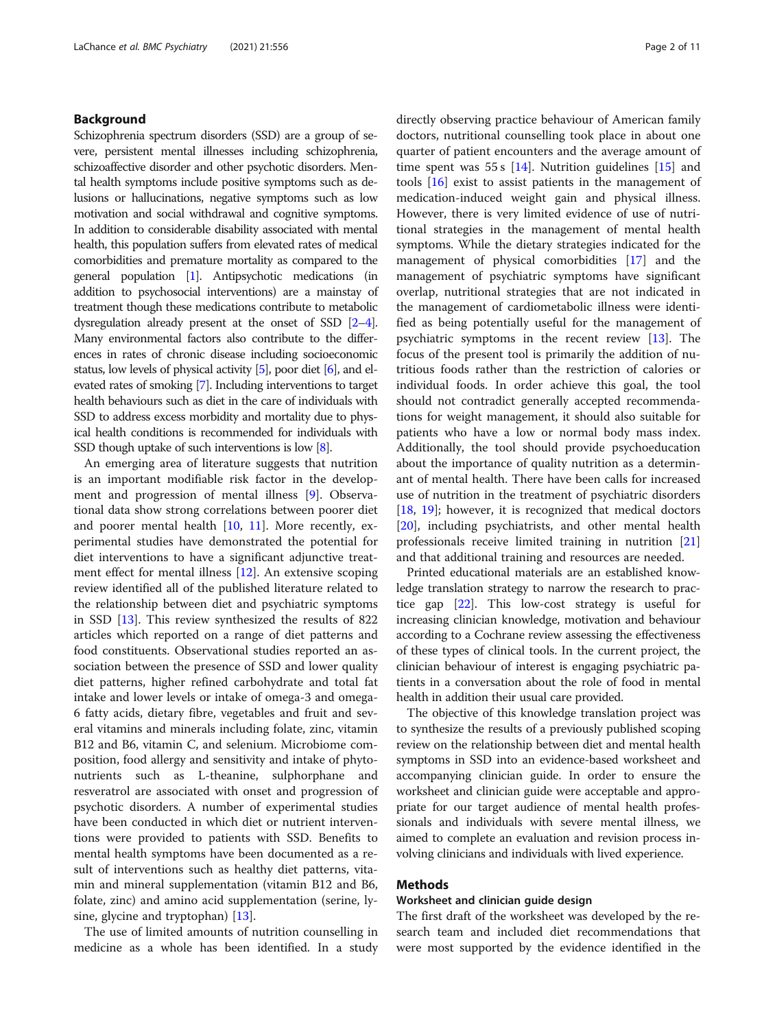### Background

Schizophrenia spectrum disorders (SSD) are a group of severe, persistent mental illnesses including schizophrenia, schizoaffective disorder and other psychotic disorders. Mental health symptoms include positive symptoms such as delusions or hallucinations, negative symptoms such as low motivation and social withdrawal and cognitive symptoms. In addition to considerable disability associated with mental health, this population suffers from elevated rates of medical comorbidities and premature mortality as compared to the general population [[1](#page-9-0)]. Antipsychotic medications (in addition to psychosocial interventions) are a mainstay of treatment though these medications contribute to metabolic dysregulation already present at the onset of SSD [\[2](#page-9-0)–[4\]](#page-9-0). Many environmental factors also contribute to the differences in rates of chronic disease including socioeconomic status, low levels of physical activity [\[5\]](#page-9-0), poor diet [[6](#page-9-0)], and elevated rates of smoking [\[7](#page-9-0)]. Including interventions to target health behaviours such as diet in the care of individuals with SSD to address excess morbidity and mortality due to physical health conditions is recommended for individuals with SSD though uptake of such interventions is low [\[8](#page-9-0)].

An emerging area of literature suggests that nutrition is an important modifiable risk factor in the development and progression of mental illness [[9\]](#page-9-0). Observational data show strong correlations between poorer diet and poorer mental health [[10](#page-9-0), [11](#page-9-0)]. More recently, experimental studies have demonstrated the potential for diet interventions to have a significant adjunctive treatment effect for mental illness [\[12](#page-9-0)]. An extensive scoping review identified all of the published literature related to the relationship between diet and psychiatric symptoms in SSD [\[13](#page-9-0)]. This review synthesized the results of 822 articles which reported on a range of diet patterns and food constituents. Observational studies reported an association between the presence of SSD and lower quality diet patterns, higher refined carbohydrate and total fat intake and lower levels or intake of omega-3 and omega-6 fatty acids, dietary fibre, vegetables and fruit and several vitamins and minerals including folate, zinc, vitamin B12 and B6, vitamin C, and selenium. Microbiome composition, food allergy and sensitivity and intake of phytonutrients such as L-theanine, sulphorphane and resveratrol are associated with onset and progression of psychotic disorders. A number of experimental studies have been conducted in which diet or nutrient interventions were provided to patients with SSD. Benefits to mental health symptoms have been documented as a result of interventions such as healthy diet patterns, vitamin and mineral supplementation (vitamin B12 and B6, folate, zinc) and amino acid supplementation (serine, lysine, glycine and tryptophan) [[13](#page-9-0)].

The use of limited amounts of nutrition counselling in medicine as a whole has been identified. In a study directly observing practice behaviour of American family doctors, nutritional counselling took place in about one quarter of patient encounters and the average amount of time spent was 55 s  $[14]$  $[14]$ . Nutrition guidelines  $[15]$  $[15]$  and tools [[16](#page-9-0)] exist to assist patients in the management of medication-induced weight gain and physical illness. However, there is very limited evidence of use of nutritional strategies in the management of mental health symptoms. While the dietary strategies indicated for the management of physical comorbidities [\[17\]](#page-9-0) and the management of psychiatric symptoms have significant overlap, nutritional strategies that are not indicated in the management of cardiometabolic illness were identified as being potentially useful for the management of psychiatric symptoms in the recent review [\[13](#page-9-0)]. The focus of the present tool is primarily the addition of nutritious foods rather than the restriction of calories or individual foods. In order achieve this goal, the tool should not contradict generally accepted recommendations for weight management, it should also suitable for patients who have a low or normal body mass index. Additionally, the tool should provide psychoeducation about the importance of quality nutrition as a determinant of mental health. There have been calls for increased use of nutrition in the treatment of psychiatric disorders [[18,](#page-9-0) [19\]](#page-9-0); however, it is recognized that medical doctors [[20\]](#page-9-0), including psychiatrists, and other mental health professionals receive limited training in nutrition [[21](#page-9-0)] and that additional training and resources are needed.

Printed educational materials are an established knowledge translation strategy to narrow the research to practice gap [\[22\]](#page-9-0). This low-cost strategy is useful for increasing clinician knowledge, motivation and behaviour according to a Cochrane review assessing the effectiveness of these types of clinical tools. In the current project, the clinician behaviour of interest is engaging psychiatric patients in a conversation about the role of food in mental health in addition their usual care provided.

The objective of this knowledge translation project was to synthesize the results of a previously published scoping review on the relationship between diet and mental health symptoms in SSD into an evidence-based worksheet and accompanying clinician guide. In order to ensure the worksheet and clinician guide were acceptable and appropriate for our target audience of mental health professionals and individuals with severe mental illness, we aimed to complete an evaluation and revision process involving clinicians and individuals with lived experience.

### Methods

### Worksheet and clinician guide design

The first draft of the worksheet was developed by the research team and included diet recommendations that were most supported by the evidence identified in the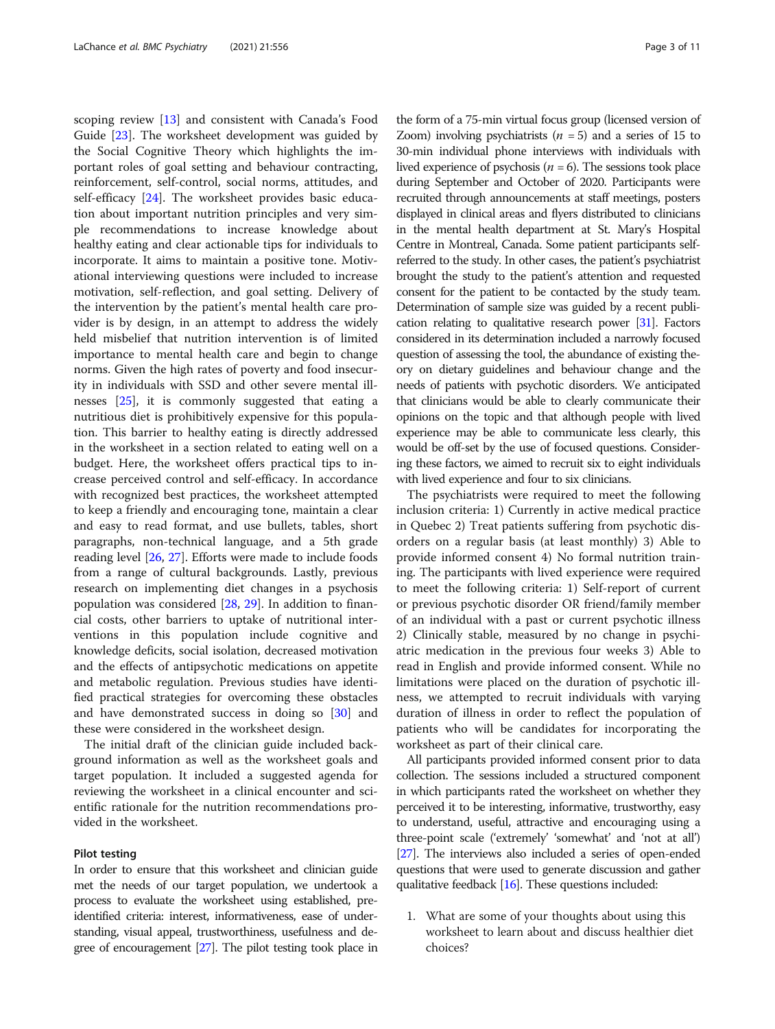scoping review [[13\]](#page-9-0) and consistent with Canada's Food Guide [[23](#page-9-0)]. The worksheet development was guided by the Social Cognitive Theory which highlights the important roles of goal setting and behaviour contracting, reinforcement, self-control, social norms, attitudes, and self-efficacy [\[24\]](#page-9-0). The worksheet provides basic education about important nutrition principles and very simple recommendations to increase knowledge about healthy eating and clear actionable tips for individuals to incorporate. It aims to maintain a positive tone. Motivational interviewing questions were included to increase motivation, self-reflection, and goal setting. Delivery of the intervention by the patient's mental health care provider is by design, in an attempt to address the widely held misbelief that nutrition intervention is of limited importance to mental health care and begin to change norms. Given the high rates of poverty and food insecurity in individuals with SSD and other severe mental illnesses [[25](#page-9-0)], it is commonly suggested that eating a nutritious diet is prohibitively expensive for this population. This barrier to healthy eating is directly addressed in the worksheet in a section related to eating well on a budget. Here, the worksheet offers practical tips to increase perceived control and self-efficacy. In accordance with recognized best practices, the worksheet attempted to keep a friendly and encouraging tone, maintain a clear and easy to read format, and use bullets, tables, short paragraphs, non-technical language, and a 5th grade reading level [\[26](#page-9-0), [27](#page-9-0)]. Efforts were made to include foods from a range of cultural backgrounds. Lastly, previous research on implementing diet changes in a psychosis population was considered [[28](#page-9-0), [29\]](#page-9-0). In addition to financial costs, other barriers to uptake of nutritional interventions in this population include cognitive and knowledge deficits, social isolation, decreased motivation and the effects of antipsychotic medications on appetite and metabolic regulation. Previous studies have identified practical strategies for overcoming these obstacles and have demonstrated success in doing so [\[30\]](#page-9-0) and these were considered in the worksheet design.

The initial draft of the clinician guide included background information as well as the worksheet goals and target population. It included a suggested agenda for reviewing the worksheet in a clinical encounter and scientific rationale for the nutrition recommendations provided in the worksheet.

### Pilot testing

In order to ensure that this worksheet and clinician guide met the needs of our target population, we undertook a process to evaluate the worksheet using established, preidentified criteria: interest, informativeness, ease of understanding, visual appeal, trustworthiness, usefulness and degree of encouragement [\[27](#page-9-0)]. The pilot testing took place in

the form of a 75-min virtual focus group (licensed version of Zoom) involving psychiatrists  $(n = 5)$  and a series of 15 to 30-min individual phone interviews with individuals with lived experience of psychosis ( $n = 6$ ). The sessions took place during September and October of 2020. Participants were recruited through announcements at staff meetings, posters displayed in clinical areas and flyers distributed to clinicians in the mental health department at St. Mary's Hospital Centre in Montreal, Canada. Some patient participants selfreferred to the study. In other cases, the patient's psychiatrist brought the study to the patient's attention and requested consent for the patient to be contacted by the study team. Determination of sample size was guided by a recent publication relating to qualitative research power [[31\]](#page-9-0). Factors considered in its determination included a narrowly focused question of assessing the tool, the abundance of existing theory on dietary guidelines and behaviour change and the needs of patients with psychotic disorders. We anticipated that clinicians would be able to clearly communicate their opinions on the topic and that although people with lived experience may be able to communicate less clearly, this would be off-set by the use of focused questions. Considering these factors, we aimed to recruit six to eight individuals with lived experience and four to six clinicians.

The psychiatrists were required to meet the following inclusion criteria: 1) Currently in active medical practice in Quebec 2) Treat patients suffering from psychotic disorders on a regular basis (at least monthly) 3) Able to provide informed consent 4) No formal nutrition training. The participants with lived experience were required to meet the following criteria: 1) Self-report of current or previous psychotic disorder OR friend/family member of an individual with a past or current psychotic illness 2) Clinically stable, measured by no change in psychiatric medication in the previous four weeks 3) Able to read in English and provide informed consent. While no limitations were placed on the duration of psychotic illness, we attempted to recruit individuals with varying duration of illness in order to reflect the population of patients who will be candidates for incorporating the worksheet as part of their clinical care.

All participants provided informed consent prior to data collection. The sessions included a structured component in which participants rated the worksheet on whether they perceived it to be interesting, informative, trustworthy, easy to understand, useful, attractive and encouraging using a three-point scale ('extremely' 'somewhat' and 'not at all') [[27](#page-9-0)]. The interviews also included a series of open-ended questions that were used to generate discussion and gather qualitative feedback [\[16\]](#page-9-0). These questions included:

1. What are some of your thoughts about using this worksheet to learn about and discuss healthier diet choices?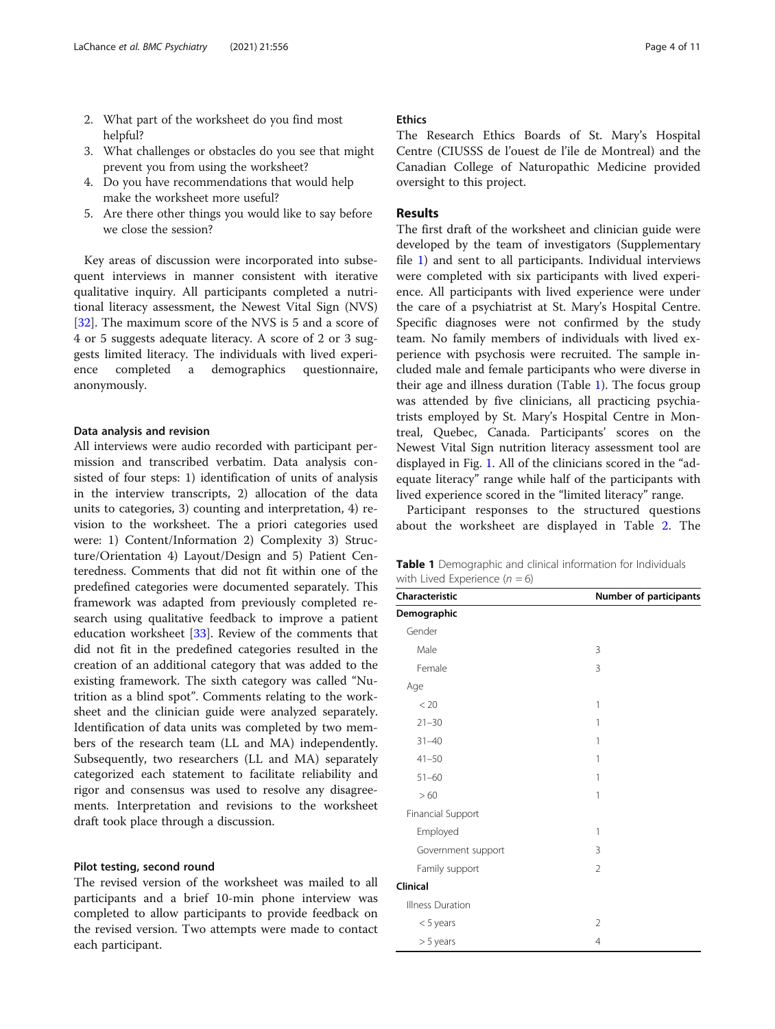- 2. What part of the worksheet do you find most helpful?
- 3. What challenges or obstacles do you see that might prevent you from using the worksheet?
- 4. Do you have recommendations that would help make the worksheet more useful?
- 5. Are there other things you would like to say before we close the session?

Key areas of discussion were incorporated into subsequent interviews in manner consistent with iterative qualitative inquiry. All participants completed a nutritional literacy assessment, the Newest Vital Sign (NVS) [[32\]](#page-9-0). The maximum score of the NVS is 5 and a score of 4 or 5 suggests adequate literacy. A score of 2 or 3 suggests limited literacy. The individuals with lived experience completed a demographics questionnaire, anonymously.

### Data analysis and revision

All interviews were audio recorded with participant permission and transcribed verbatim. Data analysis consisted of four steps: 1) identification of units of analysis in the interview transcripts, 2) allocation of the data units to categories, 3) counting and interpretation, 4) revision to the worksheet. The a priori categories used were: 1) Content/Information 2) Complexity 3) Structure/Orientation 4) Layout/Design and 5) Patient Centeredness. Comments that did not fit within one of the predefined categories were documented separately. This framework was adapted from previously completed research using qualitative feedback to improve a patient education worksheet [[33\]](#page-9-0). Review of the comments that did not fit in the predefined categories resulted in the creation of an additional category that was added to the existing framework. The sixth category was called "Nutrition as a blind spot". Comments relating to the worksheet and the clinician guide were analyzed separately. Identification of data units was completed by two members of the research team (LL and MA) independently. Subsequently, two researchers (LL and MA) separately categorized each statement to facilitate reliability and rigor and consensus was used to resolve any disagreements. Interpretation and revisions to the worksheet draft took place through a discussion.

### Pilot testing, second round

The revised version of the worksheet was mailed to all participants and a brief 10-min phone interview was completed to allow participants to provide feedback on the revised version. Two attempts were made to contact each participant.

### Ethics

The Research Ethics Boards of St. Mary's Hospital Centre (CIUSSS de l'ouest de l'ile de Montreal) and the Canadian College of Naturopathic Medicine provided oversight to this project.

### Results

The first draft of the worksheet and clinician guide were developed by the team of investigators (Supplementary file [1\)](#page-8-0) and sent to all participants. Individual interviews were completed with six participants with lived experience. All participants with lived experience were under the care of a psychiatrist at St. Mary's Hospital Centre. Specific diagnoses were not confirmed by the study team. No family members of individuals with lived experience with psychosis were recruited. The sample included male and female participants who were diverse in their age and illness duration (Table 1). The focus group was attended by five clinicians, all practicing psychiatrists employed by St. Mary's Hospital Centre in Montreal, Quebec, Canada. Participants' scores on the Newest Vital Sign nutrition literacy assessment tool are displayed in Fig. [1](#page-4-0). All of the clinicians scored in the "adequate literacy" range while half of the participants with lived experience scored in the "limited literacy" range.

Participant responses to the structured questions about the worksheet are displayed in Table [2.](#page-4-0) The

| <b>Table 1</b> Demographic and clinical information for Individuals |  |
|---------------------------------------------------------------------|--|
| with Lived Experience $(n = 6)$                                     |  |

| Characteristic     | Number of participants |  |  |
|--------------------|------------------------|--|--|
| Demographic        |                        |  |  |
| Gender             |                        |  |  |
| Male               | 3                      |  |  |
| Female             | 3                      |  |  |
| Age                |                        |  |  |
| < 20               | 1                      |  |  |
| $21 - 30$          | 1                      |  |  |
| $31 - 40$          | 1                      |  |  |
| $41 - 50$          | 1                      |  |  |
| $51 - 60$          | 1                      |  |  |
| >60                | 1                      |  |  |
| Financial Support  |                        |  |  |
| Employed           | 1                      |  |  |
| Government support | 3                      |  |  |
| Family support     | $\overline{2}$         |  |  |
| Clinical           |                        |  |  |
| Illness Duration   |                        |  |  |
| $<$ 5 years        | 2                      |  |  |
| $> 5$ years        | 4                      |  |  |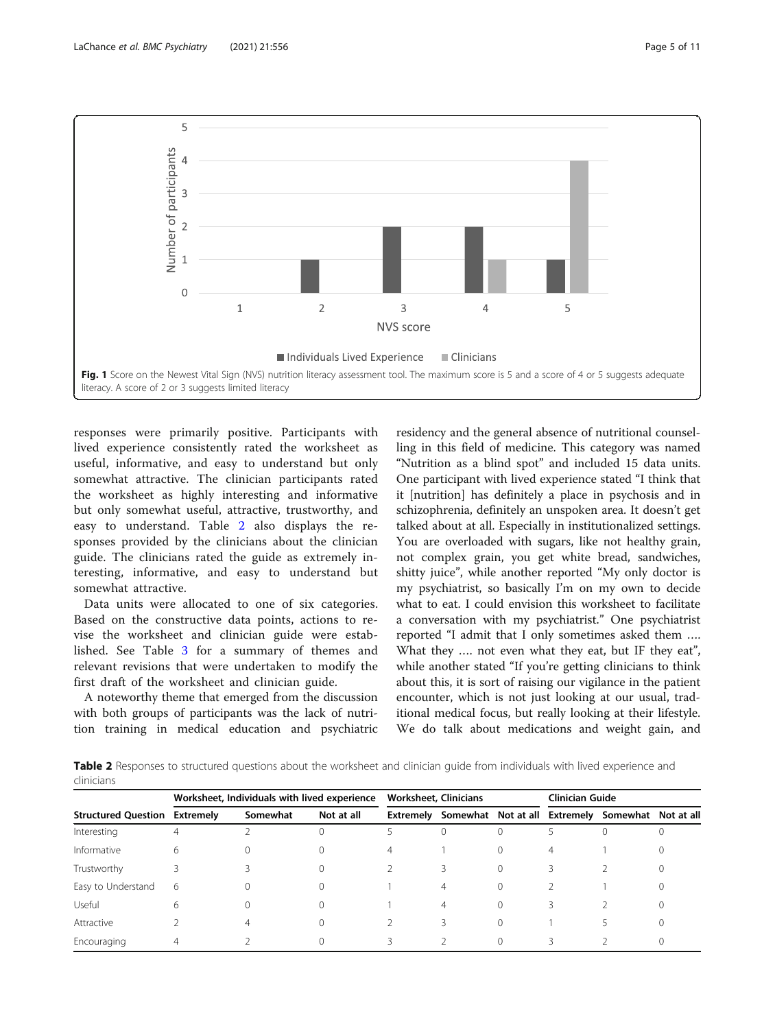<span id="page-4-0"></span>

responses were primarily positive. Participants with lived experience consistently rated the worksheet as useful, informative, and easy to understand but only somewhat attractive. The clinician participants rated the worksheet as highly interesting and informative but only somewhat useful, attractive, trustworthy, and easy to understand. Table 2 also displays the responses provided by the clinicians about the clinician guide. The clinicians rated the guide as extremely interesting, informative, and easy to understand but somewhat attractive.

Data units were allocated to one of six categories. Based on the constructive data points, actions to revise the worksheet and clinician guide were established. See Table [3](#page-5-0) for a summary of themes and relevant revisions that were undertaken to modify the first draft of the worksheet and clinician guide.

A noteworthy theme that emerged from the discussion with both groups of participants was the lack of nutrition training in medical education and psychiatric

residency and the general absence of nutritional counselling in this field of medicine. This category was named "Nutrition as a blind spot" and included 15 data units. One participant with lived experience stated "I think that it [nutrition] has definitely a place in psychosis and in schizophrenia, definitely an unspoken area. It doesn't get talked about at all. Especially in institutionalized settings. You are overloaded with sugars, like not healthy grain, not complex grain, you get white bread, sandwiches, shitty juice", while another reported "My only doctor is my psychiatrist, so basically I'm on my own to decide what to eat. I could envision this worksheet to facilitate a conversation with my psychiatrist." One psychiatrist reported "I admit that I only sometimes asked them …. What they …. not even what they eat, but IF they eat", while another stated "If you're getting clinicians to think about this, it is sort of raising our vigilance in the patient encounter, which is not just looking at our usual, traditional medical focus, but really looking at their lifestyle. We do talk about medications and weight gain, and

Table 2 Responses to structured questions about the worksheet and clinician quide from individuals with lived experience and clinicians

|                                      | Worksheet, Individuals with lived experience |          |            | <b>Worksheet, Clinicians</b> |   |  | <b>Clinician Guide</b> |                                                             |         |
|--------------------------------------|----------------------------------------------|----------|------------|------------------------------|---|--|------------------------|-------------------------------------------------------------|---------|
| <b>Structured Question Extremely</b> |                                              | Somewhat | Not at all |                              |   |  |                        | Extremely Somewhat Not at all Extremely Somewhat Not at all |         |
| Interesting                          | 4                                            |          |            |                              |   |  |                        |                                                             |         |
| Informative                          | 6                                            |          |            | 4                            |   |  | 4                      |                                                             | U       |
| Trustworthy                          |                                              |          |            |                              |   |  |                        |                                                             | $^{()}$ |
| Easy to Understand                   | 6                                            |          |            |                              | 4 |  |                        |                                                             | $^{()}$ |
| Useful                               | 6                                            |          |            |                              | 4 |  |                        |                                                             |         |
| Attractive                           |                                              |          |            |                              |   |  |                        |                                                             | 0       |
| Encouraging                          |                                              |          |            |                              |   |  |                        |                                                             |         |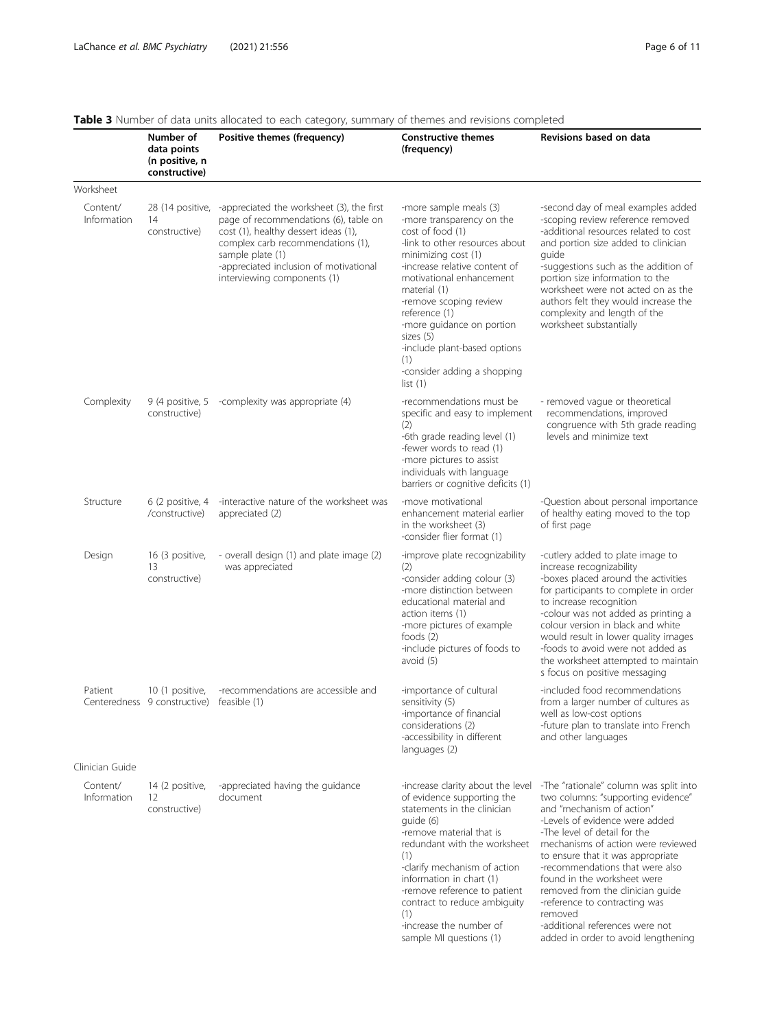|                         | Number of<br>data points<br>(n positive, n<br>constructive) | Positive themes (frequency)                                                                                                                                                                                                                                  | <b>Constructive themes</b><br>(frequency)                                                                                                                                                                                                                                                                                                                                | Revisions based on data                                                                                                                                                                                                                                                                                                                                                                                                                                                            |
|-------------------------|-------------------------------------------------------------|--------------------------------------------------------------------------------------------------------------------------------------------------------------------------------------------------------------------------------------------------------------|--------------------------------------------------------------------------------------------------------------------------------------------------------------------------------------------------------------------------------------------------------------------------------------------------------------------------------------------------------------------------|------------------------------------------------------------------------------------------------------------------------------------------------------------------------------------------------------------------------------------------------------------------------------------------------------------------------------------------------------------------------------------------------------------------------------------------------------------------------------------|
| Worksheet               |                                                             |                                                                                                                                                                                                                                                              |                                                                                                                                                                                                                                                                                                                                                                          |                                                                                                                                                                                                                                                                                                                                                                                                                                                                                    |
| Content/<br>Information | 28 (14 positive,<br>14<br>constructive)                     | -appreciated the worksheet (3), the first<br>page of recommendations (6), table on<br>cost (1), healthy dessert ideas (1),<br>complex carb recommendations (1),<br>sample plate (1)<br>-appreciated inclusion of motivational<br>interviewing components (1) | -more sample meals (3)<br>-more transparency on the<br>cost of food (1)<br>-link to other resources about<br>minimizing cost (1)<br>-increase relative content of<br>motivational enhancement<br>material (1)<br>-remove scoping review<br>reference (1)<br>-more guidance on portion<br>sizes (5)<br>-include plant-based options<br>(1)<br>-consider adding a shopping | -second day of meal examples added<br>-scoping review reference removed<br>-additional resources related to cost<br>and portion size added to clinician<br>quide<br>-suggestions such as the addition of<br>portion size information to the<br>worksheet were not acted on as the<br>authors felt they would increase the<br>complexity and length of the<br>worksheet substantially                                                                                               |
|                         |                                                             |                                                                                                                                                                                                                                                              | list(1)                                                                                                                                                                                                                                                                                                                                                                  |                                                                                                                                                                                                                                                                                                                                                                                                                                                                                    |
| Complexity              | 9 (4 positive, 5<br>constructive)                           | -complexity was appropriate (4)                                                                                                                                                                                                                              | -recommendations must be<br>specific and easy to implement<br>(2)<br>-6th grade reading level (1)<br>-fewer words to read (1)<br>-more pictures to assist<br>individuals with language<br>barriers or cognitive deficits (1)                                                                                                                                             | - removed vague or theoretical<br>recommendations, improved<br>congruence with 5th grade reading<br>levels and minimize text                                                                                                                                                                                                                                                                                                                                                       |
| Structure               | $6(2)$ positive, 4<br>/constructive)                        | -interactive nature of the worksheet was<br>appreciated (2)                                                                                                                                                                                                  | -move motivational<br>enhancement material earlier<br>in the worksheet (3)<br>-consider flier format (1)                                                                                                                                                                                                                                                                 | -Question about personal importance<br>of healthy eating moved to the top<br>of first page                                                                                                                                                                                                                                                                                                                                                                                         |
| Design                  | 16 (3 positive,<br>13<br>constructive)                      | - overall design (1) and plate image (2)<br>was appreciated                                                                                                                                                                                                  | -improve plate recognizability<br>(2)<br>-consider adding colour (3)<br>-more distinction between<br>educational material and<br>action items (1)<br>-more pictures of example<br>foods $(2)$<br>-include pictures of foods to<br>avoid (5)                                                                                                                              | -cutlery added to plate image to<br>increase recognizability<br>-boxes placed around the activities<br>for participants to complete in order<br>to increase recognition<br>-colour was not added as printing a<br>colour version in black and white<br>would result in lower quality images<br>-foods to avoid were not added as<br>the worksheet attempted to maintain<br>s focus on positive messaging                                                                           |
| Patient                 | 10 (1 positive,<br>Centeredness 9 constructive)             | -recommendations are accessible and<br>feasible (1)                                                                                                                                                                                                          | -importance of cultural<br>sensitivity (5)<br>-importance of financial<br>considerations (2)<br>-accessibility in different<br>languages (2)                                                                                                                                                                                                                             | -included food recommendations<br>from a larger number of cultures as<br>well as low-cost options<br>-future plan to translate into French<br>and other languages                                                                                                                                                                                                                                                                                                                  |
| Clinician Guide         |                                                             |                                                                                                                                                                                                                                                              |                                                                                                                                                                                                                                                                                                                                                                          |                                                                                                                                                                                                                                                                                                                                                                                                                                                                                    |
| Content/<br>Information | 14 (2 positive,<br>12<br>constructive)                      | -appreciated having the guidance<br>document                                                                                                                                                                                                                 | -increase clarity about the level<br>of evidence supporting the<br>statements in the clinician<br>quide (6)<br>-remove material that is<br>redundant with the worksheet<br>(1)<br>-clarify mechanism of action<br>information in chart (1)<br>-remove reference to patient<br>contract to reduce ambiguity<br>(1)<br>-increase the number of<br>sample MI questions (1)  | -The "rationale" column was split into<br>two columns: "supporting evidence"<br>and "mechanism of action"<br>-Levels of evidence were added<br>-The level of detail for the<br>mechanisms of action were reviewed<br>to ensure that it was appropriate<br>-recommendations that were also<br>found in the worksheet were<br>removed from the clinician quide<br>-reference to contracting was<br>removed<br>-additional references were not<br>added in order to avoid lengthening |

### <span id="page-5-0"></span>Table 3 Number of data units allocated to each category, summary of themes and revisions completed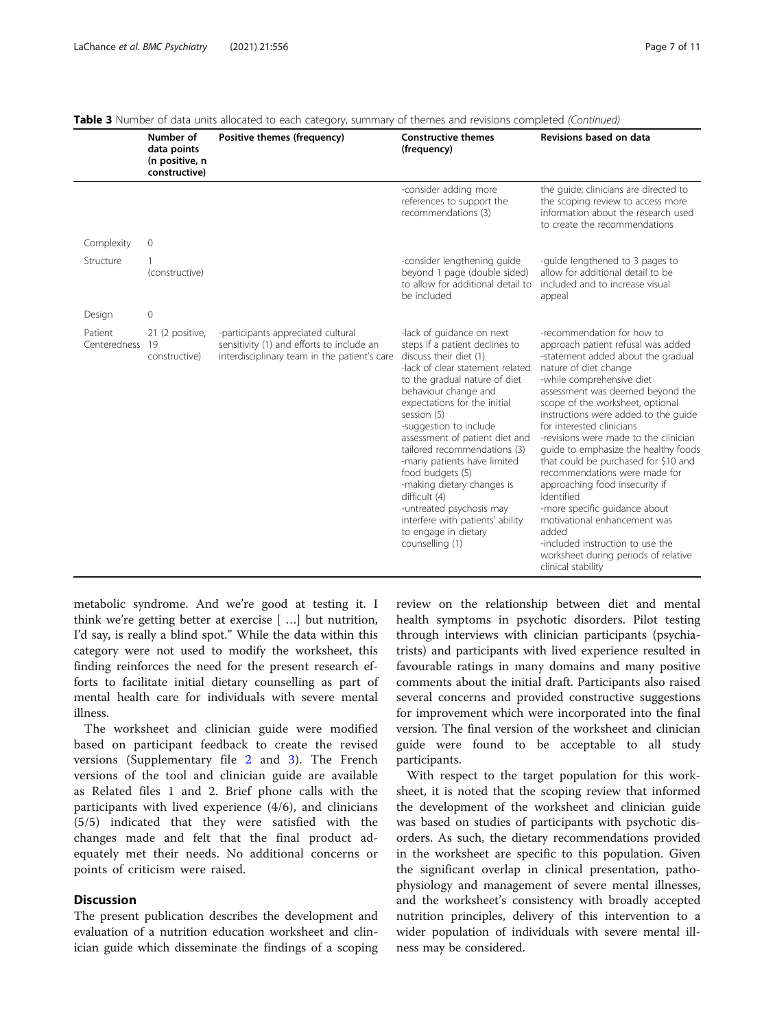|                         | Number of<br>data points<br>(n positive, n<br>constructive) | Positive themes (frequency)                                                                                                     | <b>Constructive themes</b><br>(frequency)                                                                                                                                                                                                                                                                                                                                                                                                                                                                                                  | Revisions based on data                                                                                                                                                                                                                                                                                                                                                                                                                                                                                                                                                                                                                                                                         |
|-------------------------|-------------------------------------------------------------|---------------------------------------------------------------------------------------------------------------------------------|--------------------------------------------------------------------------------------------------------------------------------------------------------------------------------------------------------------------------------------------------------------------------------------------------------------------------------------------------------------------------------------------------------------------------------------------------------------------------------------------------------------------------------------------|-------------------------------------------------------------------------------------------------------------------------------------------------------------------------------------------------------------------------------------------------------------------------------------------------------------------------------------------------------------------------------------------------------------------------------------------------------------------------------------------------------------------------------------------------------------------------------------------------------------------------------------------------------------------------------------------------|
|                         |                                                             |                                                                                                                                 | -consider adding more<br>references to support the<br>recommendations (3)                                                                                                                                                                                                                                                                                                                                                                                                                                                                  | the quide; clinicians are directed to<br>the scoping review to access more<br>information about the research used<br>to create the recommendations                                                                                                                                                                                                                                                                                                                                                                                                                                                                                                                                              |
| Complexity              | $\mathbf 0$                                                 |                                                                                                                                 |                                                                                                                                                                                                                                                                                                                                                                                                                                                                                                                                            |                                                                                                                                                                                                                                                                                                                                                                                                                                                                                                                                                                                                                                                                                                 |
| Structure               | (constructive)                                              |                                                                                                                                 | -consider lengthening guide<br>beyond 1 page (double sided)<br>to allow for additional detail to<br>be included                                                                                                                                                                                                                                                                                                                                                                                                                            | -quide lengthened to 3 pages to<br>allow for additional detail to be<br>included and to increase visual<br>appeal                                                                                                                                                                                                                                                                                                                                                                                                                                                                                                                                                                               |
| Design                  | $\mathbf 0$                                                 |                                                                                                                                 |                                                                                                                                                                                                                                                                                                                                                                                                                                                                                                                                            |                                                                                                                                                                                                                                                                                                                                                                                                                                                                                                                                                                                                                                                                                                 |
| Patient<br>Centeredness | 21 (2 positive,<br>19<br>constructive)                      | -participants appreciated cultural<br>sensitivity (1) and efforts to include an<br>interdisciplinary team in the patient's care | -lack of quidance on next<br>steps if a patient declines to<br>discuss their diet (1)<br>-lack of clear statement related<br>to the gradual nature of diet<br>behaviour change and<br>expectations for the initial<br>session (5)<br>-suggestion to include<br>assessment of patient diet and<br>tailored recommendations (3)<br>-many patients have limited<br>food budgets (5)<br>-making dietary changes is<br>difficult (4)<br>-untreated psychosis may<br>interfere with patients' ability<br>to engage in dietary<br>counselling (1) | -recommendation for how to<br>approach patient refusal was added<br>-statement added about the gradual<br>nature of diet change<br>-while comprehensive diet<br>assessment was deemed beyond the<br>scope of the worksheet, optional<br>instructions were added to the quide<br>for interested clinicians<br>-revisions were made to the clinician<br>guide to emphasize the healthy foods<br>that could be purchased for \$10 and<br>recommendations were made for<br>approaching food insecurity if<br>identified<br>-more specific quidance about<br>motivational enhancement was<br>added<br>-included instruction to use the<br>worksheet during periods of relative<br>clinical stability |

| Table 3 Number of data units allocated to each category, summary of themes and revisions completed (Continued) |  |
|----------------------------------------------------------------------------------------------------------------|--|

metabolic syndrome. And we're good at testing it. I think we're getting better at exercise [ …] but nutrition, I'd say, is really a blind spot." While the data within this category were not used to modify the worksheet, this finding reinforces the need for the present research efforts to facilitate initial dietary counselling as part of mental health care for individuals with severe mental illness.

The worksheet and clinician guide were modified based on participant feedback to create the revised versions (Supplementary file [2](#page-8-0) and [3\)](#page-8-0). The French versions of the tool and clinician guide are available as Related files 1 and 2. Brief phone calls with the participants with lived experience (4/6), and clinicians (5/5) indicated that they were satisfied with the changes made and felt that the final product adequately met their needs. No additional concerns or points of criticism were raised.

### **Discussion**

The present publication describes the development and evaluation of a nutrition education worksheet and clinician guide which disseminate the findings of a scoping

review on the relationship between diet and mental health symptoms in psychotic disorders. Pilot testing through interviews with clinician participants (psychiatrists) and participants with lived experience resulted in favourable ratings in many domains and many positive comments about the initial draft. Participants also raised several concerns and provided constructive suggestions for improvement which were incorporated into the final version. The final version of the worksheet and clinician guide were found to be acceptable to all study participants.

With respect to the target population for this worksheet, it is noted that the scoping review that informed the development of the worksheet and clinician guide was based on studies of participants with psychotic disorders. As such, the dietary recommendations provided in the worksheet are specific to this population. Given the significant overlap in clinical presentation, pathophysiology and management of severe mental illnesses, and the worksheet's consistency with broadly accepted nutrition principles, delivery of this intervention to a wider population of individuals with severe mental illness may be considered.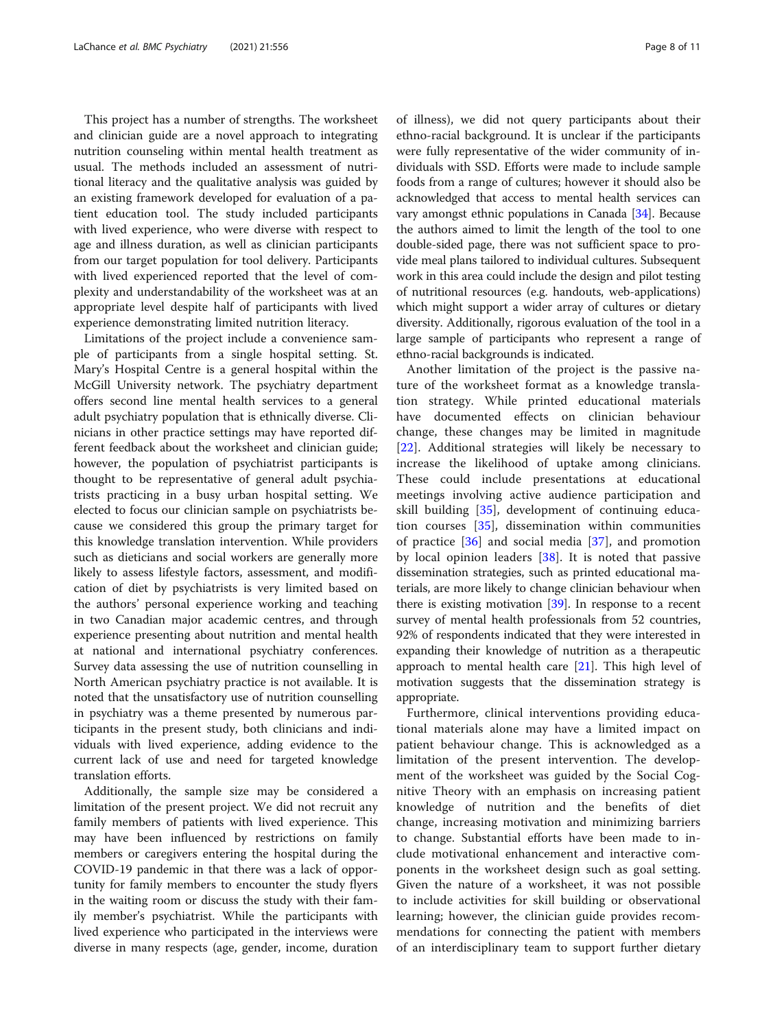This project has a number of strengths. The worksheet and clinician guide are a novel approach to integrating nutrition counseling within mental health treatment as usual. The methods included an assessment of nutritional literacy and the qualitative analysis was guided by an existing framework developed for evaluation of a patient education tool. The study included participants with lived experience, who were diverse with respect to age and illness duration, as well as clinician participants from our target population for tool delivery. Participants with lived experienced reported that the level of complexity and understandability of the worksheet was at an appropriate level despite half of participants with lived experience demonstrating limited nutrition literacy.

Limitations of the project include a convenience sample of participants from a single hospital setting. St. Mary's Hospital Centre is a general hospital within the McGill University network. The psychiatry department offers second line mental health services to a general adult psychiatry population that is ethnically diverse. Clinicians in other practice settings may have reported different feedback about the worksheet and clinician guide; however, the population of psychiatrist participants is thought to be representative of general adult psychiatrists practicing in a busy urban hospital setting. We elected to focus our clinician sample on psychiatrists because we considered this group the primary target for this knowledge translation intervention. While providers such as dieticians and social workers are generally more likely to assess lifestyle factors, assessment, and modification of diet by psychiatrists is very limited based on the authors' personal experience working and teaching in two Canadian major academic centres, and through experience presenting about nutrition and mental health at national and international psychiatry conferences. Survey data assessing the use of nutrition counselling in North American psychiatry practice is not available. It is noted that the unsatisfactory use of nutrition counselling in psychiatry was a theme presented by numerous participants in the present study, both clinicians and individuals with lived experience, adding evidence to the current lack of use and need for targeted knowledge translation efforts.

Additionally, the sample size may be considered a limitation of the present project. We did not recruit any family members of patients with lived experience. This may have been influenced by restrictions on family members or caregivers entering the hospital during the COVID-19 pandemic in that there was a lack of opportunity for family members to encounter the study flyers in the waiting room or discuss the study with their family member's psychiatrist. While the participants with lived experience who participated in the interviews were diverse in many respects (age, gender, income, duration of illness), we did not query participants about their ethno-racial background. It is unclear if the participants were fully representative of the wider community of individuals with SSD. Efforts were made to include sample foods from a range of cultures; however it should also be acknowledged that access to mental health services can vary amongst ethnic populations in Canada [\[34](#page-9-0)]. Because the authors aimed to limit the length of the tool to one double-sided page, there was not sufficient space to provide meal plans tailored to individual cultures. Subsequent work in this area could include the design and pilot testing of nutritional resources (e.g. handouts, web-applications) which might support a wider array of cultures or dietary diversity. Additionally, rigorous evaluation of the tool in a large sample of participants who represent a range of ethno-racial backgrounds is indicated.

Another limitation of the project is the passive nature of the worksheet format as a knowledge translation strategy. While printed educational materials have documented effects on clinician behaviour change, these changes may be limited in magnitude [[22\]](#page-9-0). Additional strategies will likely be necessary to increase the likelihood of uptake among clinicians. These could include presentations at educational meetings involving active audience participation and skill building [[35\]](#page-9-0), development of continuing education courses [\[35](#page-9-0)], dissemination within communities of practice  $[36]$  $[36]$  and social media  $[37]$  $[37]$ , and promotion by local opinion leaders  $[38]$  $[38]$  $[38]$ . It is noted that passive dissemination strategies, such as printed educational materials, are more likely to change clinician behaviour when there is existing motivation [[39](#page-10-0)]. In response to a recent survey of mental health professionals from 52 countries, 92% of respondents indicated that they were interested in expanding their knowledge of nutrition as a therapeutic approach to mental health care [\[21\]](#page-9-0). This high level of motivation suggests that the dissemination strategy is appropriate.

Furthermore, clinical interventions providing educational materials alone may have a limited impact on patient behaviour change. This is acknowledged as a limitation of the present intervention. The development of the worksheet was guided by the Social Cognitive Theory with an emphasis on increasing patient knowledge of nutrition and the benefits of diet change, increasing motivation and minimizing barriers to change. Substantial efforts have been made to include motivational enhancement and interactive components in the worksheet design such as goal setting. Given the nature of a worksheet, it was not possible to include activities for skill building or observational learning; however, the clinician guide provides recommendations for connecting the patient with members of an interdisciplinary team to support further dietary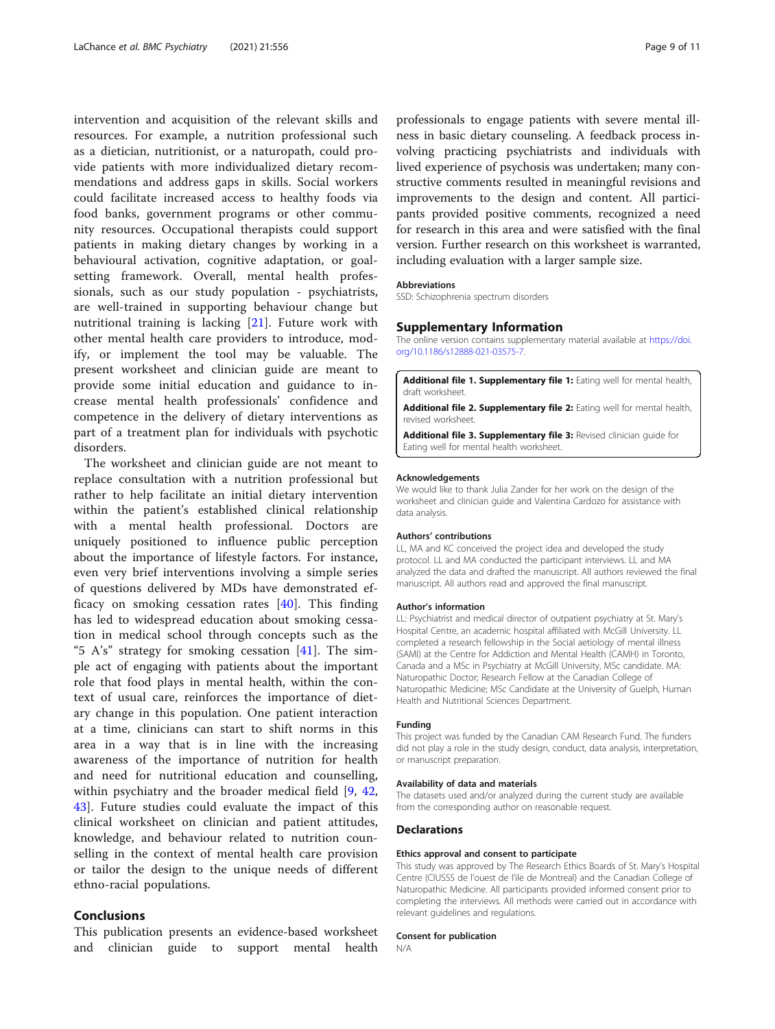<span id="page-8-0"></span>intervention and acquisition of the relevant skills and resources. For example, a nutrition professional such as a dietician, nutritionist, or a naturopath, could provide patients with more individualized dietary recommendations and address gaps in skills. Social workers could facilitate increased access to healthy foods via food banks, government programs or other community resources. Occupational therapists could support patients in making dietary changes by working in a behavioural activation, cognitive adaptation, or goalsetting framework. Overall, mental health professionals, such as our study population - psychiatrists, are well-trained in supporting behaviour change but nutritional training is lacking [\[21](#page-9-0)]. Future work with other mental health care providers to introduce, modify, or implement the tool may be valuable. The present worksheet and clinician guide are meant to provide some initial education and guidance to increase mental health professionals' confidence and competence in the delivery of dietary interventions as part of a treatment plan for individuals with psychotic disorders.

The worksheet and clinician guide are not meant to replace consultation with a nutrition professional but rather to help facilitate an initial dietary intervention within the patient's established clinical relationship with a mental health professional. Doctors are uniquely positioned to influence public perception about the importance of lifestyle factors. For instance, even very brief interventions involving a simple series of questions delivered by MDs have demonstrated efficacy on smoking cessation rates [[40\]](#page-10-0). This finding has led to widespread education about smoking cessation in medical school through concepts such as the "5 A's" strategy for smoking cessation [[41\]](#page-10-0). The simple act of engaging with patients about the important role that food plays in mental health, within the context of usual care, reinforces the importance of dietary change in this population. One patient interaction at a time, clinicians can start to shift norms in this area in a way that is in line with the increasing awareness of the importance of nutrition for health and need for nutritional education and counselling, within psychiatry and the broader medical field [\[9](#page-9-0), [42](#page-10-0), [43\]](#page-10-0). Future studies could evaluate the impact of this clinical worksheet on clinician and patient attitudes, knowledge, and behaviour related to nutrition counselling in the context of mental health care provision or tailor the design to the unique needs of different ethno-racial populations.

### Conclusions

This publication presents an evidence-based worksheet and clinician guide to support mental health

professionals to engage patients with severe mental illness in basic dietary counseling. A feedback process involving practicing psychiatrists and individuals with lived experience of psychosis was undertaken; many constructive comments resulted in meaningful revisions and improvements to the design and content. All participants provided positive comments, recognized a need for research in this area and were satisfied with the final version. Further research on this worksheet is warranted, including evaluation with a larger sample size.

#### Abbreviations

SSD: Schizophrenia spectrum disorders

#### Supplementary Information

The online version contains supplementary material available at [https://doi.](https://doi.org/10.1186/s12888-021-03575-7) [org/10.1186/s12888-021-03575-7.](https://doi.org/10.1186/s12888-021-03575-7)

Additional file 1. Supplementary file 1: Eating well for mental health, draft worksheet.

Additional file 2. Supplementary file 2: Eating well for mental health, revised worksheet.

Additional file 3. Supplementary file 3: Revised clinician quide for Eating well for mental health worksheet.

#### Acknowledgements

We would like to thank Julia Zander for her work on the design of the worksheet and clinician guide and Valentina Cardozo for assistance with data analysis.

#### Authors' contributions

LL, MA and KC conceived the project idea and developed the study protocol. LL and MA conducted the participant interviews. LL and MA analyzed the data and drafted the manuscript. All authors reviewed the final manuscript. All authors read and approved the final manuscript.

#### Author's information

LL: Psychiatrist and medical director of outpatient psychiatry at St. Mary's Hospital Centre, an academic hospital affiliated with McGill University. LL completed a research fellowship in the Social aetiology of mental illness (SAMI) at the Centre for Addiction and Mental Health (CAMH) in Toronto, Canada and a MSc in Psychiatry at McGill University, MSc candidate. MA: Naturopathic Doctor; Research Fellow at the Canadian College of Naturopathic Medicine; MSc Candidate at the University of Guelph, Human Health and Nutritional Sciences Department.

#### Funding

This project was funded by the Canadian CAM Research Fund. The funders did not play a role in the study design, conduct, data analysis, interpretation, or manuscript preparation.

#### Availability of data and materials

The datasets used and/or analyzed during the current study are available from the corresponding author on reasonable request.

#### **Declarations**

#### Ethics approval and consent to participate

This study was approved by The Research Ethics Boards of St. Mary's Hospital Centre (CIUSSS de l'ouest de l'ile de Montreal) and the Canadian College of Naturopathic Medicine. All participants provided informed consent prior to completing the interviews. All methods were carried out in accordance with relevant guidelines and regulations.

#### Consent for publication

N/A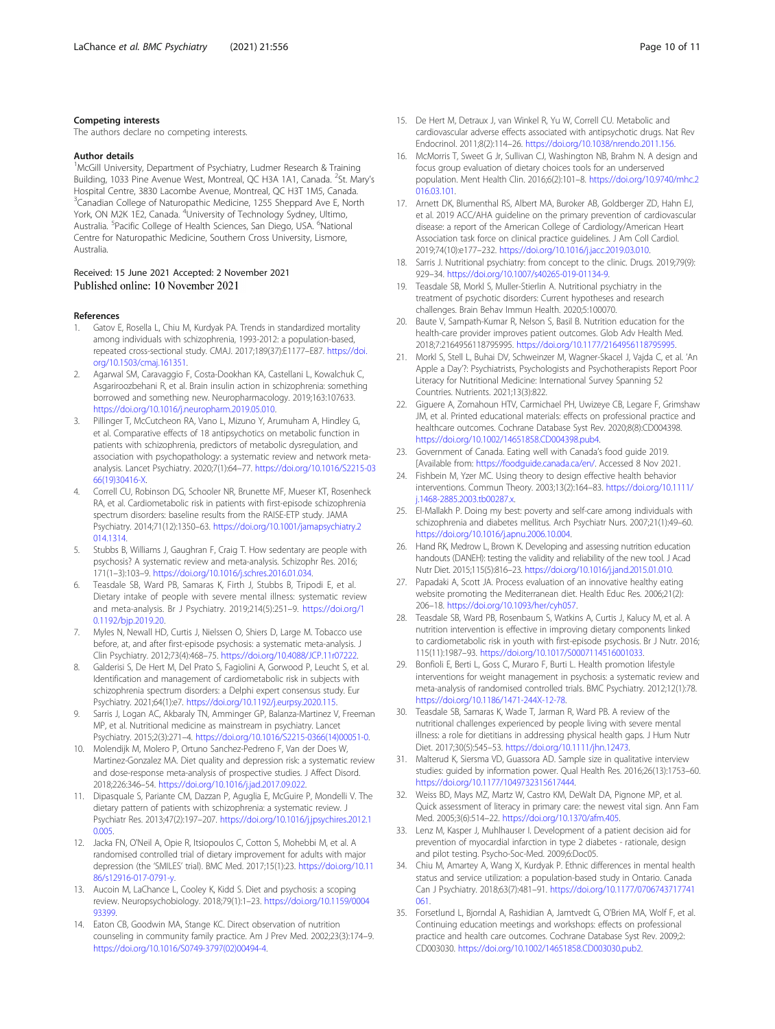### <span id="page-9-0"></span>Competing interests

The authors declare no competing interests.

#### Author details

<sup>1</sup>McGill University, Department of Psychiatry, Ludmer Research & Training Building, 1033 Pine Avenue West, Montreal, QC H3A 1A1, Canada. <sup>2</sup>St. Mary's Hospital Centre, 3830 Lacombe Avenue, Montreal, QC H3T 1M5, Canada. <sup>3</sup>Canadian College of Naturopathic Medicine, 1255 Sheppard Ave E, North York, ON M2K 1E2, Canada. <sup>4</sup>University of Technology Sydney, Ultimo, Australia. <sup>5</sup>Pacific College of Health Sciences, San Diego, USA. <sup>6</sup>National Centre for Naturopathic Medicine, Southern Cross University, Lismore, Australia.

#### Received: 15 June 2021 Accepted: 2 November 2021 Published online: 10 November 2021

#### References

- Gatov E, Rosella L, Chiu M, Kurdyak PA. Trends in standardized mortality among individuals with schizophrenia, 1993-2012: a population-based, repeated cross-sectional study. CMAJ. 2017;189(37):E1177–E87. [https://doi.](https://doi.org/10.1503/cmaj.161351) [org/10.1503/cmaj.161351](https://doi.org/10.1503/cmaj.161351).
- 2. Agarwal SM, Caravaggio F, Costa-Dookhan KA, Castellani L, Kowalchuk C, Asgariroozbehani R, et al. Brain insulin action in schizophrenia: something borrowed and something new. Neuropharmacology. 2019;163:107633. <https://doi.org/10.1016/j.neuropharm.2019.05.010>.
- 3. Pillinger T, McCutcheon RA, Vano L, Mizuno Y, Arumuham A, Hindley G, et al. Comparative effects of 18 antipsychotics on metabolic function in patients with schizophrenia, predictors of metabolic dysregulation, and association with psychopathology: a systematic review and network metaanalysis. Lancet Psychiatry. 2020;7(1):64–77. [https://doi.org/10.1016/S2215-03](https://doi.org/10.1016/S2215-0366(19)30416-X) [66\(19\)30416-X](https://doi.org/10.1016/S2215-0366(19)30416-X).
- 4. Correll CU, Robinson DG, Schooler NR, Brunette MF, Mueser KT, Rosenheck RA, et al. Cardiometabolic risk in patients with first-episode schizophrenia spectrum disorders: baseline results from the RAISE-ETP study. JAMA Psychiatry. 2014;71(12):1350–63. [https://doi.org/10.1001/jamapsychiatry.2](https://doi.org/10.1001/jamapsychiatry.2014.1314) [014.1314.](https://doi.org/10.1001/jamapsychiatry.2014.1314)
- 5. Stubbs B, Williams J, Gaughran F, Craig T. How sedentary are people with psychosis? A systematic review and meta-analysis. Schizophr Res. 2016; 171(1–3):103–9. <https://doi.org/10.1016/j.schres.2016.01.034>.
- Teasdale SB, Ward PB, Samaras K, Firth J, Stubbs B, Tripodi E, et al. Dietary intake of people with severe mental illness: systematic review and meta-analysis. Br J Psychiatry. 2019;214(5):251–9. [https://doi.org/1](https://doi.org/10.1192/bjp.2019.20) [0.1192/bjp.2019.20](https://doi.org/10.1192/bjp.2019.20).
- 7. Myles N, Newall HD, Curtis J, Nielssen O, Shiers D, Large M. Tobacco use before, at, and after first-episode psychosis: a systematic meta-analysis. J Clin Psychiatry. 2012;73(4):468–75. <https://doi.org/10.4088/JCP.11r07222>.
- Galderisi S, De Hert M, Del Prato S, Fagiolini A, Gorwood P, Leucht S, et al. Identification and management of cardiometabolic risk in subjects with schizophrenia spectrum disorders: a Delphi expert consensus study. Eur Psychiatry. 2021;64(1):e7. <https://doi.org/10.1192/j.eurpsy.2020.115>.
- 9. Sarris J, Logan AC, Akbaraly TN, Amminger GP, Balanza-Martinez V, Freeman MP, et al. Nutritional medicine as mainstream in psychiatry. Lancet Psychiatry. 2015;2(3):271–4. [https://doi.org/10.1016/S2215-0366\(14\)00051-0](https://doi.org/10.1016/S2215-0366(14)00051-0).
- 10. Molendijk M, Molero P, Ortuno Sanchez-Pedreno F, Van der Does W, Martinez-Gonzalez MA. Diet quality and depression risk: a systematic review and dose-response meta-analysis of prospective studies. J Affect Disord. 2018;226:346–54. [https://doi.org/10.1016/j.jad.2017.09.022.](https://doi.org/10.1016/j.jad.2017.09.022)
- 11. Dipasquale S, Pariante CM, Dazzan P, Aguglia E, McGuire P, Mondelli V. The dietary pattern of patients with schizophrenia: a systematic review. J Psychiatr Res. 2013;47(2):197–207. [https://doi.org/10.1016/j.jpsychires.2012.1](https://doi.org/10.1016/j.jpsychires.2012.10.005) [0.005.](https://doi.org/10.1016/j.jpsychires.2012.10.005)
- 12. Jacka FN, O'Neil A, Opie R, Itsiopoulos C, Cotton S, Mohebbi M, et al. A randomised controlled trial of dietary improvement for adults with major depression (the 'SMILES' trial). BMC Med. 2017;15(1):23. [https://doi.org/10.11](https://doi.org/10.1186/s12916-017-0791-y) [86/s12916-017-0791-y.](https://doi.org/10.1186/s12916-017-0791-y)
- 13. Aucoin M, LaChance L, Cooley K, Kidd S. Diet and psychosis: a scoping review. Neuropsychobiology. 2018;79(1):1–23. [https://doi.org/10.1159/0004](https://doi.org/10.1159/000493399) [93399.](https://doi.org/10.1159/000493399)
- 14. Eaton CB, Goodwin MA, Stange KC. Direct observation of nutrition counseling in community family practice. Am J Prev Med. 2002;23(3):174–9. [https://doi.org/10.1016/S0749-3797\(02\)00494-4.](https://doi.org/10.1016/S0749-3797(02)00494-4)
- 15. De Hert M, Detraux J, van Winkel R, Yu W, Correll CU. Metabolic and cardiovascular adverse effects associated with antipsychotic drugs. Nat Rev Endocrinol. 2011;8(2):114–26. <https://doi.org/10.1038/nrendo.2011.156>.
- 16. McMorris T, Sweet G Jr, Sullivan CJ, Washington NB, Brahm N. A design and focus group evaluation of dietary choices tools for an underserved population. Ment Health Clin. 2016;6(2):101–8. [https://doi.org/10.9740/mhc.2](https://doi.org/10.9740/mhc.2016.03.101) [016.03.101](https://doi.org/10.9740/mhc.2016.03.101).
- 17. Arnett DK, Blumenthal RS, Albert MA, Buroker AB, Goldberger ZD, Hahn EJ, et al. 2019 ACC/AHA guideline on the primary prevention of cardiovascular disease: a report of the American College of Cardiology/American Heart Association task force on clinical practice guidelines. J Am Coll Cardiol. 2019;74(10):e177–232. [https://doi.org/10.1016/j.jacc.2019.03.010.](https://doi.org/10.1016/j.jacc.2019.03.010)
- 18. Sarris J. Nutritional psychiatry: from concept to the clinic. Drugs. 2019;79(9): 929–34. <https://doi.org/10.1007/s40265-019-01134-9>.
- 19. Teasdale SB, Morkl S, Muller-Stierlin A. Nutritional psychiatry in the treatment of psychotic disorders: Current hypotheses and research challenges. Brain Behav Immun Health. 2020;5:100070.
- 20. Baute V, Sampath-Kumar R, Nelson S, Basil B. Nutrition education for the health-care provider improves patient outcomes. Glob Adv Health Med. 2018;7:2164956118795995. [https://doi.org/10.1177/2164956118795995.](https://doi.org/10.1177/2164956118795995)
- 21. Morkl S, Stell L, Buhai DV, Schweinzer M, Wagner-Skacel J, Vajda C, et al. 'An Apple a Day'?: Psychiatrists, Psychologists and Psychotherapists Report Poor Literacy for Nutritional Medicine: International Survey Spanning 52 Countries. Nutrients. 2021;13(3):822.
- 22. Giguere A, Zomahoun HTV, Carmichael PH, Uwizeye CB, Legare F, Grimshaw JM, et al. Printed educational materials: effects on professional practice and healthcare outcomes. Cochrane Database Syst Rev. 2020;8(8):CD004398. [https://doi.org/10.1002/14651858.CD004398.pub4.](https://doi.org/10.1002/14651858.CD004398.pub4)
- 23. Government of Canada. Eating well with Canada's food guide 2019. [Available from: <https://foodguide.canada.ca/en/>. Accessed 8 Nov 2021.
- 24. Fishbein M, Yzer MC. Using theory to design effective health behavior interventions. Commun Theory. 2003;13(2):164–83. [https://doi.org/10.1111/](https://doi.org/10.1111/j.1468-2885.2003.tb00287.x) [j.1468-2885.2003.tb00287.x](https://doi.org/10.1111/j.1468-2885.2003.tb00287.x).
- 25. El-Mallakh P. Doing my best: poverty and self-care among individuals with schizophrenia and diabetes mellitus. Arch Psychiatr Nurs. 2007;21(1):49–60. <https://doi.org/10.1016/j.apnu.2006.10.004>.
- 26. Hand RK, Medrow L, Brown K. Developing and assessing nutrition education handouts (DANEH): testing the validity and reliability of the new tool. J Acad Nutr Diet. 2015;115(5):816–23. <https://doi.org/10.1016/j.jand.2015.01.010>.
- 27. Papadaki A, Scott JA. Process evaluation of an innovative healthy eating website promoting the Mediterranean diet. Health Educ Res. 2006;21(2): 206–18. [https://doi.org/10.1093/her/cyh057.](https://doi.org/10.1093/her/cyh057)
- 28. Teasdale SB, Ward PB, Rosenbaum S, Watkins A, Curtis J, Kalucy M, et al. A nutrition intervention is effective in improving dietary components linked to cardiometabolic risk in youth with first-episode psychosis. Br J Nutr. 2016; 115(11):1987–93. <https://doi.org/10.1017/S0007114516001033>.
- 29. Bonfioli E, Berti L, Goss C, Muraro F, Burti L. Health promotion lifestyle interventions for weight management in psychosis: a systematic review and meta-analysis of randomised controlled trials. BMC Psychiatry. 2012;12(1):78. [https://doi.org/10.1186/1471-244X-12-78.](https://doi.org/10.1186/1471-244X-12-78)
- 30. Teasdale SB, Samaras K, Wade T, Jarman R, Ward PB. A review of the nutritional challenges experienced by people living with severe mental illness: a role for dietitians in addressing physical health gaps. J Hum Nutr Diet. 2017;30(5):545–53. <https://doi.org/10.1111/jhn.12473>.
- 31. Malterud K, Siersma VD, Guassora AD. Sample size in qualitative interview studies: guided by information power. Qual Health Res. 2016;26(13):1753–60. [https://doi.org/10.1177/1049732315617444.](https://doi.org/10.1177/1049732315617444)
- 32. Weiss BD, Mays MZ, Martz W, Castro KM, DeWalt DA, Pignone MP, et al. Quick assessment of literacy in primary care: the newest vital sign. Ann Fam Med. 2005;3(6):514–22. [https://doi.org/10.1370/afm.405.](https://doi.org/10.1370/afm.405)
- 33. Lenz M, Kasper J, Muhlhauser I. Development of a patient decision aid for prevention of myocardial infarction in type 2 diabetes - rationale, design and pilot testing. Psycho-Soc-Med. 2009;6:Doc05.
- 34. Chiu M, Amartey A, Wang X, Kurdyak P. Ethnic differences in mental health status and service utilization: a population-based study in Ontario. Canada Can J Psychiatry. 2018;63(7):481–91. [https://doi.org/10.1177/0706743717741](https://doi.org/10.1177/0706743717741061) [061.](https://doi.org/10.1177/0706743717741061)
- 35. Forsetlund L, Bjorndal A, Rashidian A, Jamtvedt G, O'Brien MA, Wolf F, et al. Continuing education meetings and workshops: effects on professional practice and health care outcomes. Cochrane Database Syst Rev. 2009;2: CD003030. [https://doi.org/10.1002/14651858.CD003030.pub2.](https://doi.org/10.1002/14651858.CD003030.pub2)